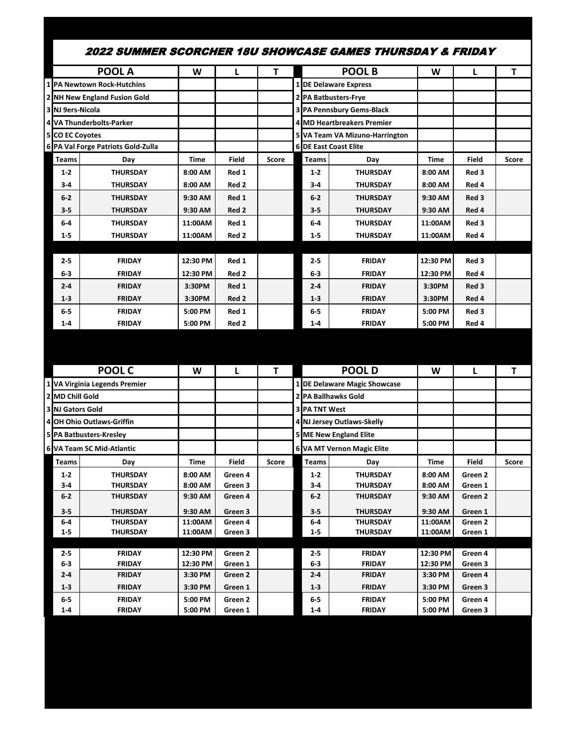|                                    | 2022 SUMMER SCORCHER 18U SHOWCASE GAMES THURSDAY & FRIDAY |                     |                    |       |                      |                                  |                     |                    |              |
|------------------------------------|-----------------------------------------------------------|---------------------|--------------------|-------|----------------------|----------------------------------|---------------------|--------------------|--------------|
|                                    | <b>POOL A</b>                                             | W                   | L                  | T     |                      | <b>POOL B</b>                    | W                   | L                  | T            |
|                                    | 1 PA Newtown Rock-Hutchins                                |                     |                    |       |                      | 1 DE Delaware Express            |                     |                    |              |
|                                    | 2 NH New England Fusion Gold                              |                     |                    |       |                      | 2 PA Batbusters-Frye             |                     |                    |              |
| 3 NJ 9ers-Nicola                   |                                                           |                     |                    |       |                      | <b>3 PA Pennsbury Gems-Black</b> |                     |                    |              |
|                                    | 4 VA Thunderbolts-Parker                                  |                     |                    |       |                      | 4 MD Heartbreakers Premier       |                     |                    |              |
| 5 CO EC Coyotes                    |                                                           |                     |                    |       |                      | 5 VA Team VA Mizuno-Harrington   |                     |                    |              |
|                                    | 6 PA Val Forge Patriots Gold-Zulla                        |                     |                    |       |                      | <b>6 DE East Coast Elite</b>     |                     |                    |              |
| <b>Teams</b>                       | Day                                                       | <b>Time</b>         | Field              | Score | <b>Teams</b>         | Day                              | Time                | Field              | <b>Score</b> |
| $1 - 2$                            | <b>THURSDAY</b>                                           | 8:00 AM             | Red 1              |       | $1 - 2$              | <b>THURSDAY</b>                  | 8:00 AM             | Red 3              |              |
| $3 - 4$                            | <b>THURSDAY</b>                                           | 8:00 AM             | Red 2              |       | $3-4$                | <b>THURSDAY</b>                  | 8:00 AM             | Red 4              |              |
| $6 - 2$                            | <b>THURSDAY</b>                                           | 9:30 AM             | Red 1              |       | $6-2$                | <b>THURSDAY</b>                  | 9:30 AM             | Red 3              |              |
| $3 - 5$                            | <b>THURSDAY</b>                                           | 9:30 AM             | Red 2              |       | $3 - 5$              | <b>THURSDAY</b>                  | 9:30 AM             | Red 4              |              |
| $6-4$                              | <b>THURSDAY</b>                                           | 11:00AM             | Red 1              |       | $6-4$                | <b>THURSDAY</b>                  | 11:00AM             | Red 3              |              |
| $1 - 5$                            | <b>THURSDAY</b>                                           | 11:00AM             | Red 2              |       | $1 - 5$              | <b>THURSDAY</b>                  | 11:00AM             | Red 4              |              |
|                                    |                                                           |                     |                    |       |                      |                                  |                     |                    |              |
| $2 - 5$                            | <b>FRIDAY</b>                                             | 12:30 PM            | Red 1              |       | $2 - 5$              | <b>FRIDAY</b>                    | 12:30 PM            | Red 3              |              |
| $6-3$                              | <b>FRIDAY</b>                                             | 12:30 PM            | Red 2              |       | $6-3$                | <b>FRIDAY</b>                    | 12:30 PM            | Red 4              |              |
| $2 - 4$                            | <b>FRIDAY</b>                                             | 3:30PM              | Red 1              |       | $2 - 4$              | <b>FRIDAY</b>                    | 3:30PM              | Red 3              |              |
| $1 - 3$                            | <b>FRIDAY</b>                                             | 3:30PM              | Red <sub>2</sub>   |       | $1 - 3$              | <b>FRIDAY</b>                    | 3:30PM              | Red 4              |              |
| 6-5                                | <b>FRIDAY</b>                                             | 5:00 PM             | Red 1              |       | $6-5$                | <b>FRIDAY</b>                    | 5:00 PM             | Red 3              |              |
| $1 - 4$                            | <b>FRIDAY</b>                                             | 5:00 PM             | Red 2              |       | $1 - 4$              | <b>FRIDAY</b>                    | 5:00 PM             | Red 4              |              |
|                                    |                                                           |                     |                    |       |                      |                                  |                     |                    |              |
|                                    |                                                           |                     |                    |       |                      |                                  |                     |                    |              |
|                                    |                                                           |                     |                    |       |                      |                                  |                     |                    |              |
|                                    | <b>POOL C</b>                                             | W                   | L                  | T     |                      | <b>POOLD</b>                     | W                   | L                  | T            |
|                                    | 1 VA Virginia Legends Premier                             |                     |                    |       |                      | 1 DE Delaware Magic Showcase     |                     |                    |              |
| 2 MD Chill Gold                    |                                                           |                     |                    |       |                      | <b>2 PA Ballhawks Gold</b>       |                     |                    |              |
|                                    |                                                           |                     |                    |       | <b>3 PA TNT West</b> |                                  |                     |                    |              |
|                                    | 4 OH Ohio Outlaws-Griffin                                 |                     |                    |       |                      | 4 NJ Jersey Outlaws-Skelly       |                     |                    |              |
|                                    | 5 PA Batbusters-Kresley                                   |                     |                    |       |                      | <b>5 ME New England Elite</b>    |                     |                    |              |
|                                    | 6 VA Team SC Mid-Atlantic                                 |                     |                    |       |                      | 6 VA MT Vernon Magic Elite       |                     |                    |              |
| Teams                              | Day                                                       | Time                | Field              | Score | Teams                | Day                              | Time                | Field              | Score        |
| $1 - 2$                            | <b>THURSDAY</b>                                           | 8:00 AM             | Green 4            |       | $1 - 2$              | <b>THURSDAY</b>                  | 8:00 AM             | Green 2            |              |
| $3 - 4$                            | <b>THURSDAY</b>                                           | 8:00 AM             | Green 3            |       | 3-4                  | <b>THURSDAY</b>                  | 8:00 AM             | Green 1            |              |
| $6-2$                              | <b>THURSDAY</b>                                           | 9:30 AM             | Green 4            |       | 6-2                  | <b>THURSDAY</b>                  | 9:30 AM             | Green 2            |              |
| $3 - 5$                            | <b>THURSDAY</b>                                           | 9:30 AM             | Green 3            |       | $3 - 5$              | <b>THURSDAY</b>                  | 9:30 AM             | Green 1            |              |
| 6-4                                | <b>THURSDAY</b>                                           | 11:00AM             | Green 4            |       | 6-4                  | <b>THURSDAY</b>                  | 11:00AM             | Green 2            |              |
| <b>3 NJ Gators Gold</b><br>$1 - 5$ | THURSDAY                                                  | 11:00AM             | Green 3            |       | $1 - 5$              | <b>THURSDAY</b>                  | 11:00AM             | Green 1            |              |
|                                    |                                                           |                     |                    |       |                      |                                  |                     |                    |              |
| 2-5                                | <b>FRIDAY</b>                                             | 12:30 PM            | Green 2            |       | 2-5                  | <b>FRIDAY</b>                    | 12:30 PM            | Green 4            |              |
| $6-3$<br>$2 - 4$                   | <b>FRIDAY</b><br><b>FRIDAY</b>                            | 12:30 PM<br>3:30 PM | Green 1<br>Green 2 |       | $6-3$<br>$2 - 4$     | <b>FRIDAY</b><br><b>FRIDAY</b>   | 12:30 PM<br>3:30 PM | Green 3<br>Green 4 |              |
| $1 - 3$                            | FRIDAY                                                    | 3:30 PM             | Green 1            |       | $1-3$                | <b>FRIDAY</b>                    | 3:30 PM             | Green 3            |              |
| $6-5$                              | <b>FRIDAY</b>                                             | 5:00 PM             | Green 2            |       | $6-5$                | <b>FRIDAY</b>                    | 5:00 PM             | Green 4            |              |